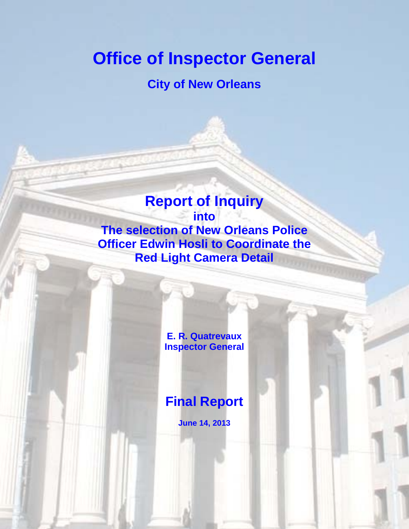# **Office of Inspector General**

# **City of New Orleans**

# **Report of Inquiry into The selection of New Orleans Police Officer Edwin Hosli to Coordinate the Red Light Camera Detail**

**E. R. Quatrevaux Inspector General**

**Final Report**

**June 14, 2013**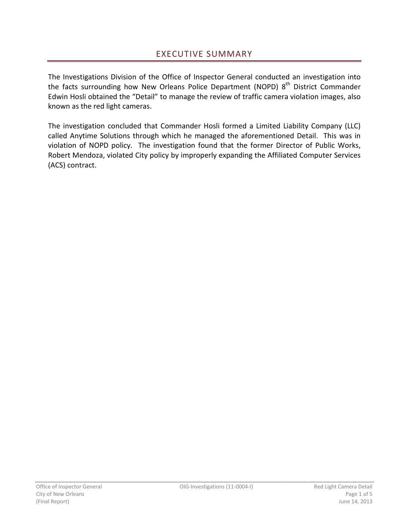The Investigations Division of the Office of Inspector General conducted an investigation into the facts surrounding how New Orleans Police Department (NOPD) 8<sup>th</sup> District Commander Edwin Hosli obtained the "Detail" to manage the review of traffic camera violation images, also known as the red light cameras.

The investigation concluded that Commander Hosli formed a Limited Liability Company (LLC) called Anytime Solutions through which he managed the aforementioned Detail. This was in violation of NOPD policy. The investigation found that the former Director of Public Works, Robert Mendoza, violated City policy by improperly expanding the Affiliated Computer Services (ACS) contract.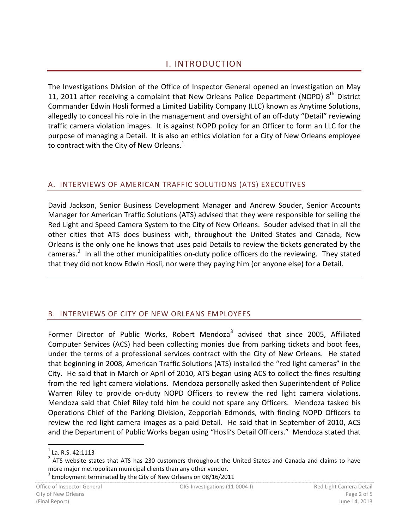## I. INTRODUCTION

The Investigations Division of the Office of Inspector General opened an investigation on May 11, 2011 after receiving a complaint that New Orleans Police Department (NOPD)  $8<sup>th</sup>$  District Commander Edwin Hosli formed a Limited Liability Company (LLC) known as Anytime Solutions, allegedly to conceal his role in the management and oversight of an off-duty "Detail" reviewing traffic camera violation images. It is against NOPD policy for an Officer to form an LLC for the purpose of managing a Detail. It is also an ethics violation for a City of New Orleans employee to contract with the City of New Orleans.<sup>[1](#page-2-0)</sup>

#### A. INTERVIEWS OF AMERICAN TRAFFIC SOLUTIONS (ATS) EXECUTIVES

David Jackson, Senior Business Development Manager and Andrew Souder, Senior Accounts Manager for American Traffic Solutions (ATS) advised that they were responsible for selling the Red Light and Speed Camera System to the City of New Orleans. Souder advised that in all the other cities that ATS does business with, throughout the United States and Canada, New Orleans is the only one he knows that uses paid Details to review the tickets generated by the cameras.<sup>[2](#page-2-1)</sup> In all the other municipalities on-duty police officers do the reviewing. They stated that they did not know Edwin Hosli, nor were they paying him (or anyone else) for a Detail.

#### B. INTERVIEWS OF CITY OF NEW ORLEANS EMPLOYEES

Former Director of Public Works, Robert Mendoza<sup>[3](#page-2-2)</sup> advised that since 2005, Affiliated Computer Services (ACS) had been collecting monies due from parking tickets and boot fees, under the terms of a professional services contract with the City of New Orleans. He stated that beginning in 2008, American Traffic Solutions (ATS) installed the "red light cameras" in the City. He said that in March or April of 2010, ATS began using ACS to collect the fines resulting from the red light camera violations. Mendoza personally asked then Superintendent of Police Warren Riley to provide on-duty NOPD Officers to review the red light camera violations. Mendoza said that Chief Riley told him he could not spare any Officers. Mendoza tasked his Operations Chief of the Parking Division, Zepporiah Edmonds, with finding NOPD Officers to review the red light camera images as a paid Detail. He said that in September of 2010, ACS and the Department of Public Works began using "Hosli's Detail Officers." Mendoza stated that

<span id="page-2-2"></span> $3$  Employment terminated by the City of New Orleans on 08/16/2011

<span id="page-2-0"></span> $<sup>1</sup>$  La. R.S. 42:1113</sup>

<span id="page-2-1"></span> $2$  ATS website states that ATS has 230 customers throughout the United States and Canada and claims to have more major metropolitan municipal clients than any other vendor.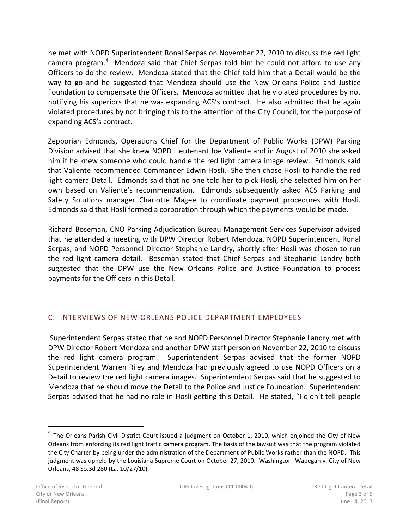he met with NOPD Superintendent Ronal Serpas on November 22, 2010 to discuss the red light camera program.<sup>[4](#page-3-0)</sup> Mendoza said that Chief Serpas told him he could not afford to use any Officers to do the review. Mendoza stated that the Chief told him that a Detail would be the way to go and he suggested that Mendoza should use the New Orleans Police and Justice Foundation to compensate the Officers. Mendoza admitted that he violated procedures by not notifying his superiors that he was expanding ACS's contract. He also admitted that he again violated procedures by not bringing this to the attention of the City Council, for the purpose of expanding ACS's contract.

Zepporiah Edmonds, Operations Chief for the Department of Public Works (DPW) Parking Division advised that she knew NOPD Lieutenant Joe Valiente and in August of 2010 she asked him if he knew someone who could handle the red light camera image review. Edmonds said that Valiente recommended Commander Edwin Hosli. She then chose Hosli to handle the red light camera Detail. Edmonds said that no one told her to pick Hosli, she selected him on her own based on Valiente's recommendation. Edmonds subsequently asked ACS Parking and Safety Solutions manager Charlotte Magee to coordinate payment procedures with Hosli. Edmonds said that Hosli formed a corporation through which the payments would be made.

Richard Boseman, CNO Parking Adjudication Bureau Management Services Supervisor advised that he attended a meeting with DPW Director Robert Mendoza, NOPD Superintendent Ronal Serpas, and NOPD Personnel Director Stephanie Landry, shortly after Hosli was chosen to run the red light camera detail. Boseman stated that Chief Serpas and Stephanie Landry both suggested that the DPW use the New Orleans Police and Justice Foundation to process payments for the Officers in this Detail.

### C. INTERVIEWS OF NEW ORLEANS POLICE DEPARTMENT EMPLOYEES

Superintendent Serpas stated that he and NOPD Personnel Director Stephanie Landry met with DPW Director Robert Mendoza and another DPW staff person on November 22, 2010 to discuss the red light camera program. Superintendent Serpas advised that the former NOPD Superintendent Warren Riley and Mendoza had previously agreed to use NOPD Officers on a Detail to review the red light camera images. Superintendent Serpas said that he suggested to Mendoza that he should move the Detail to the Police and Justice Foundation. Superintendent Serpas advised that he had no role in Hosli getting this Detail. He stated, "I didn't tell people

<span id="page-3-0"></span><sup>&</sup>lt;sup>4</sup> The Orleans Parish Civil District Court issued a judgment on October 1, 2010, which enjoined the City of New Orleans from enforcing its red light traffic camera program. The basis of the lawsuit was that the program violated the City Charter by being under the administration of the Department of Public Works rather than the NOPD. This judgment was upheld by the Louisiana Supreme Court on October 27, 2010. Washington–Wapegan v. City of New Orleans, 48 So.3d 280 (La. 10/27/10).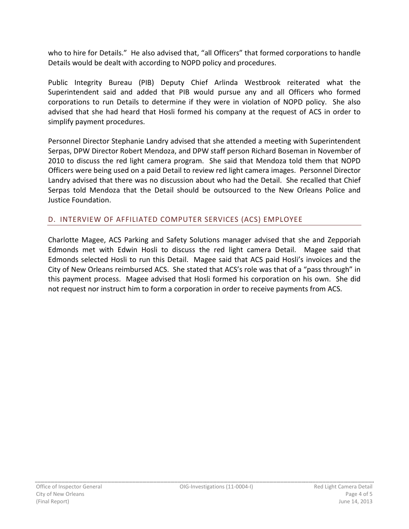who to hire for Details." He also advised that, "all Officers" that formed corporations to handle Details would be dealt with according to NOPD policy and procedures.

Public Integrity Bureau (PIB) Deputy Chief Arlinda Westbrook reiterated what the Superintendent said and added that PIB would pursue any and all Officers who formed corporations to run Details to determine if they were in violation of NOPD policy. She also advised that she had heard that Hosli formed his company at the request of ACS in order to simplify payment procedures.

Personnel Director Stephanie Landry advised that she attended a meeting with Superintendent Serpas, DPW Director Robert Mendoza, and DPW staff person Richard Boseman in November of 2010 to discuss the red light camera program. She said that Mendoza told them that NOPD Officers were being used on a paid Detail to review red light camera images. Personnel Director Landry advised that there was no discussion about who had the Detail. She recalled that Chief Serpas told Mendoza that the Detail should be outsourced to the New Orleans Police and Justice Foundation.

#### D. INTERVIEW OF AFFILIATED COMPUTER SERVICES (ACS) EMPLOYEE

Charlotte Magee, ACS Parking and Safety Solutions manager advised that she and Zepporiah Edmonds met with Edwin Hosli to discuss the red light camera Detail. Magee said that Edmonds selected Hosli to run this Detail. Magee said that ACS paid Hosli's invoices and the City of New Orleans reimbursed ACS. She stated that ACS's role was that of a "pass through" in this payment process. Magee advised that Hosli formed his corporation on his own. She did not request nor instruct him to form a corporation in order to receive payments from ACS.